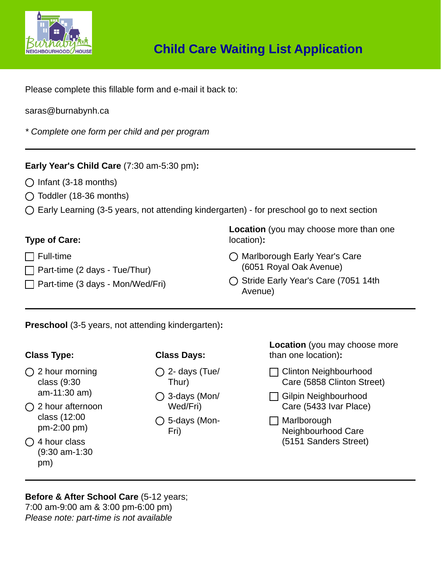

Please complete this fillable form and e-mail it back to:

#### saras@burnabynh.ca

*\* Complete one form per child and per program*

## **Early Year's Child Care** (7:30 am-5:30 pm)**:**

- $\bigcap$  Infant (3-18 months)
- $\bigcirc$  Toddler (18-36 months)
- $\bigcap$  Early Learning (3-5 years, not attending kindergarten) for preschool go to next section

#### **Type of Care:**

- $\Box$  Full-time
- $\Box$  Part-time (2 days Tue/Thur)
- $\Box$  Part-time (3 days Mon/Wed/Fri)

**Location** (you may choose more than one location)**:**

- ◯ Marlborough Early Year's Care (6051 Royal Oak Avenue)
- ◯ Stride Early Year's Care (7051 14th Avenue)

**Preschool** (3-5 years, not attending kindergarten)**:**

## **Class Type:**

- $\bigcirc$  2 hour morning class (9:30 am-11:30 am)
- $\bigcap$  2 hour afternoon class (12:00 pm-2:00 pm)
- $\bigcap$  4 hour class (9:30 am-1:30 pm)

## **Class Days:**

- $\bigcirc$  2- days (Tue/ Thur)
- 3-days (Mon/ Wed/Fri)
- $\bigcirc$  5-days (Mon-Fri)

**Location** (you may choose more than one location)**:**

- □ Clinton Neighbourhood Care (5858 Clinton Street)
- Gilpin Neighbourhood Care (5433 Ivar Place)
- $\Box$  Marlborough Neighbourhood Care (5151 Sanders Street)

# **Before & After School Care** (5-12 years;

7:00 am-9:00 am & 3:00 pm-6:00 pm) *Please note: part-time is not available*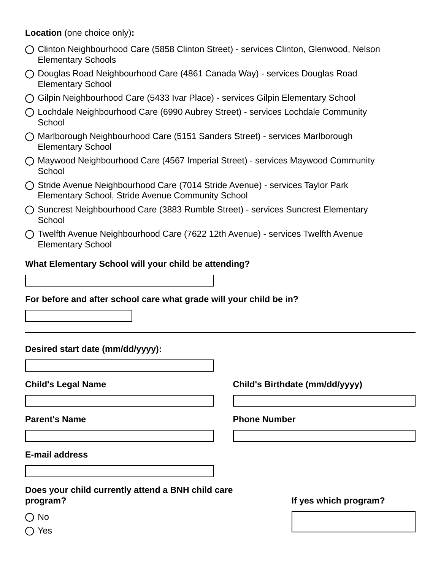**Location** (one choice only)**:**

- Clinton Neighbourhood Care (5858 Clinton Street) services Clinton, Glenwood, Nelson Elementary Schools
- Douglas Road Neighbourhood Care (4861 Canada Way) services Douglas Road Elementary School
- Gilpin Neighbourhood Care (5433 Ivar Place) services Gilpin Elementary School
- Lochdale Neighbourhood Care (6990 Aubrey Street) services Lochdale Community **School**
- Marlborough Neighbourhood Care (5151 Sanders Street) services Marlborough Elementary School
- Maywood Neighbourhood Care (4567 Imperial Street) services Maywood Community **School**
- ◯ Stride Avenue Neighbourhood Care (7014 Stride Avenue) services Taylor Park Elementary School, Stride Avenue Community School
- ◯ Suncrest Neighbourhood Care (3883 Rumble Street) services Suncrest Elementary **School**
- Twelfth Avenue Neighbourhood Care (7622 12th Avenue) services Twelfth Avenue Elementary School

#### **What Elementary School will your child be attending?**

**For before and after school care what grade will your child be in?**

## **Desired start date (mm/dd/yyyy):**

**Child's Legal Name Child's Birthdate (mm/dd/yyyy)**

## **Parent's Name Phone Number**

**E-mail address**

#### **Does your child currently attend a BNH child care program?**

## **If yes which program?**

 $\bigcirc$  No

◯ Yes